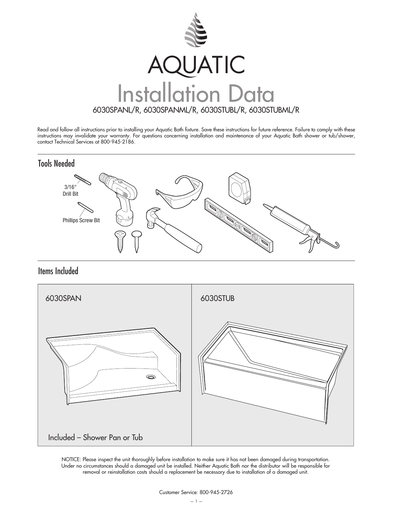

Read and follow all instructions prior to installing your Aquatic Bath fixture. Save these instructions for future reference. Failure to comply with these instructions may invalidate your warranty. For questions concerning installation and maintenance of your Aquatic Bath shower or tub/shower, contact Technical Services at 800-945-2186.



Items Included



NOTICE: Please inspect the unit thoroughly before installation to make sure it has not been damaged during transportation. Under no circumstances should a damaged unit be installed. Neither Aquatic Bath nor the distributor will be responsible for removal or reinstallation costs should a replacement be necessary due to installation of a damaged unit.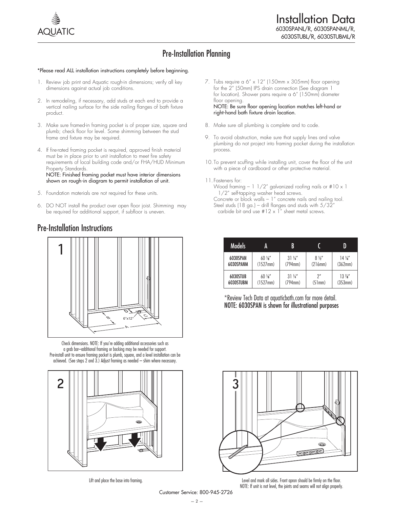

## Pre-Installation Planning

#### \*Please read ALL installation instructions completely before beginning.

- 1. Review job print and Aquatic rough-in dimensions; verify all key dimensions against actual job conditions.
- 2. In remodeling, if necessary, add studs at each end to provide a vertical nailing surface for the side nailing flanges of bath fixture product.
- 3. Make sure framed-in framing pocket is of proper size, square and plumb; check floor for level. Some shimming between the stud frame and fixture may be required.
- 4. If fire-rated framing pocket is required, approved finish material must be in place prior to unit installation to meet fire safety requirements of local building code and/or FHA/HUD Minimum Property Standards.

NOTE: Finished framing pocket must have interior dimensions shown on rough-in diagram to permit installation of unit.

- 5. Foundation materials are not required for these units.
- 6. DO NOT install the product over open floor joist. Shimming may be required for additional support, if subfloor is uneven.

#### Pre-Installation Instructions



Check dimensions. NOTE: If you're adding additional accessories such as a grab bar–additional framing or backing may be needed for support. Pre-install unit to ensure framing pocket is plumb, square, and a level installation can be achieved. (See steps 2 and 3.) Adjust framing as needed – shim where necessary.



Lift and place the base into framing.

- 7. Tubs require a 6" x 12" (150mm x 305mm) floor opening for the 2" (50mm) IPS drain connection (See diagram 1 for location). Shower pans require a 6" (150mm) diameter floor opening. NOTE: Be sure floor opening location matches left-hand or right-hand bath fixture drain location.
- 8. Make sure all plumbing is complete and to code.
- 9. To avoid obstruction, make sure that supply lines and valve plumbing do not project into framing pocket during the installation process.
- 10. To prevent scuffing while installing unit, cover the floor of the unit with a piece of cardboard or other protective material.
- 11. Fasteners for:
	- Wood framing  $-1$   $1/2$ " galvanized roofing nails or  $\#10 \times 1$ 1/2" self-tapping washer head screws.
	- Concrete or block walls 1" concrete nails and nailing tool. Steel studs (18 ga.) – drill flanges and studs with  $5/32$ " carbide bit and use  $#12 \times 1$ " sheet metal screws.

| А |  |  |  |  |                |  |  | <b>Models</b>         | A                            | B                            |                           |                            |
|---|--|--|--|--|----------------|--|--|-----------------------|------------------------------|------------------------------|---------------------------|----------------------------|
|   |  |  |  |  |                |  |  | 6030SPAN<br>6030SPANM | $60\,\mathrm{W}$<br>(1527mm) | $31\,\frac{1}{4}$<br>(794mm) | $8\frac{1}{2}$<br>(216mm) | 14 <sup>1</sup><br>(362mm) |
|   |  |  |  |  | $\overline{c}$ |  |  | 6030STUB<br>6030STUBM | $60\%$<br>(1527mm)           | $31\,\frac{1}{4}$<br>(794mm) | n''<br>(51mm)             | $13\frac{7}{8}$<br>(353mm) |

\*Review Tech Data at aquaticbath.com for more detail. NOTE: 6030SPAN is shown for illustrational purposes



Level and mark all sides. Front apron should be firmly on the floor. NOTE: If unit is not level, the joints and seams will not align properly.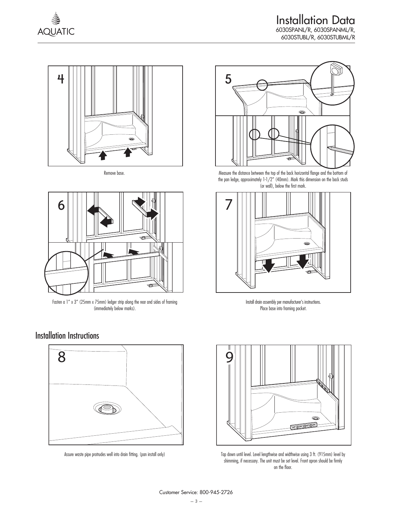



Remove base.



Fasten a 1" x 3" (25mm x 75mm) ledger strip along the rear and sides of framing (immediately below marks).

#### Installation Instructions



Assure waste pipe protrudes well into drain fitting. (pan install only)



Measure the distance between the top of the back horizontal flange and the bottom of the pan ledge, approximately 1-1/2" (40mm). Mark this dimension on the back studs (or wall), below the first mark.



Install drain assembly per manufacturer's instructions. Place base into framing pocket.



Tap down until level. Level lengthwise and widthwise using 3 ft. (915mm) level by shimming, if necessary. The unit must be set level. Front apron should be firmly on the floor.